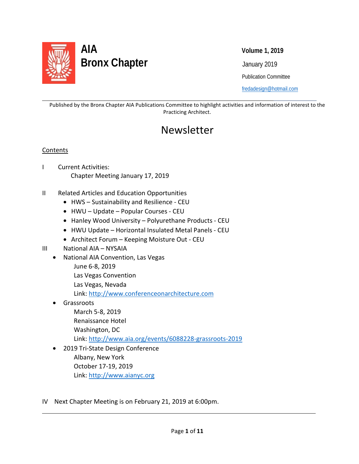

 Publication Committee [fredadesign@hotmail.com](mailto:fredadesign@hotmail.com)

Published by the Bronx Chapter AIA Publications Committee to highlight activities and information of interest to the Practicing Architect.

## Newsletter

### **Contents**

l

l

- I Current Activities: Chapter Meeting January 17, 2019
- II Related Articles and Education Opportunities
	- HWS Sustainability and Resilience CEU
	- HWU Update Popular Courses CEU
	- Hanley Wood University Polyurethane Products CEU
	- HWU Update Horizontal Insulated Metal Panels CEU
	- Architect Forum Keeping Moisture Out CEU
- III National AIA NYSAIA
	- National AIA Convention, Las Vegas
		- June 6-8, 2019
		- Las Vegas Convention
		- Las Vegas, Nevada

Link: [http://www.conferenceonarchitecture.com](http://www.conferenceonarchitecture.com/)

- **Grassroots** March 5-8, 2019 Renaissance Hotel Washington, DC Link:<http://www.aia.org/events/6088228-grassroots-2019>
- 2019 Tri-State Design Conference Albany, New York October 17-19, 2019 Link: [http://www.aianyc.org](http://www.aianyc.org/)
- IV Next Chapter Meeting is on February 21, 2019 at 6:00pm.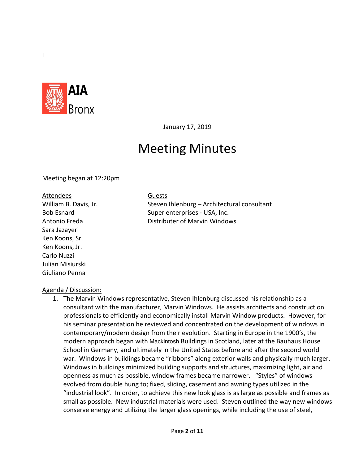

January 17, 2019

# Meeting Minutes

Meeting began at 12:20pm

#### Attendees Guests

Sara Jazayeri Ken Koons, Sr. Ken Koons, Jr. Carlo Nuzzi Julian Misiurski Giuliano Penna

William B. Davis, Jr. Steven Ihlenburg – Architectural consultant Bob Esnard Super enterprises - USA, Inc. Antonio Freda Distributer of Marvin Windows

### Agenda / Discussion:

1. The Marvin Windows representative, Steven Ihlenburg discussed his relationship as a consultant with the manufacturer, Marvin Windows. He assists architects and construction professionals to efficiently and economically install Marvin Window products. However, for his seminar presentation he reviewed and concentrated on the development of windows in contemporary/modern design from their evolution. Starting in Europe in the 1900's, the modern approach began with Mackintosh Buildings in Scotland, later at the Bauhaus House School in Germany, and ultimately in the United States before and after the second world war. Windows in buildings became "ribbons" along exterior walls and physically much larger. Windows in buildings minimized building supports and structures, maximizing light, air and openness as much as possible, window frames became narrower. "Styles" of windows evolved from double hung to; fixed, sliding, casement and awning types utilized in the "industrial look". In order, to achieve this new look glass is as large as possible and frames as small as possible. New industrial materials were used. Steven outlined the way new windows conserve energy and utilizing the larger glass openings, while including the use of steel,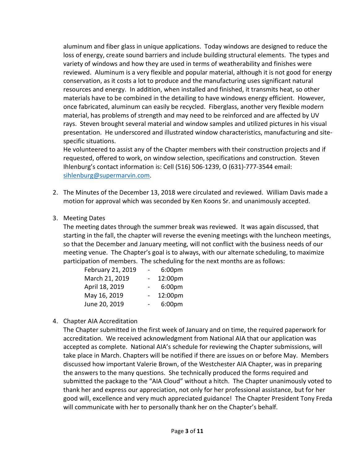aluminum and fiber glass in unique applications. Today windows are designed to reduce the loss of energy, create sound barriers and include building structural elements. The types and variety of windows and how they are used in terms of weatherability and finishes were reviewed. Aluminum is a very flexible and popular material, although it is not good for energy conservation, as it costs a lot to produce and the manufacturing uses significant natural resources and energy. In addition, when installed and finished, it transmits heat, so other materials have to be combined in the detailing to have windows energy efficient. However, once fabricated, aluminum can easily be recycled. Fiberglass, another very flexible modern material, has problems of strength and may need to be reinforced and are affected by UV rays. Steven brought several material and window samples and utilized pictures in his visual presentation. He underscored and illustrated window characteristics, manufacturing and sitespecific situations.

He volunteered to assist any of the Chapter members with their construction projects and if requested, offered to work, on window selection, specifications and construction. Steven Ihlenburg's contact information is: Cell (516) 506-1239, O (631)-777-3544 email: [sihlenburg@supermarvin.com.](mailto:sihlenburg@supermarvin.com)

2. The Minutes of the December 13, 2018 were circulated and reviewed. William Davis made a motion for approval which was seconded by Ken Koons Sr. and unanimously accepted.

### 3. Meeting Dates

The meeting dates through the summer break was reviewed. It was again discussed, that starting in the fall, the chapter will reverse the evening meetings with the luncheon meetings, so that the December and January meeting, will not conflict with the business needs of our meeting venue. The Chapter's goal is to always, with our alternate scheduling, to maximize participation of members. The scheduling for the next months are as follows:

| February 21, 2019 | 6:00 <sub>pm</sub> |
|-------------------|--------------------|
| March 21, 2019    | 12:00pm            |
| April 18, 2019    | 6:00pm             |
| May 16, 2019      | 12:00pm            |
| June 20, 2019     | 6:00pm             |

### 4. Chapter AIA Accreditation

The Chapter submitted in the first week of January and on time, the required paperwork for accreditation. We received acknowledgment from National AIA that our application was accepted as complete. National AIA's schedule for reviewing the Chapter submissions, will take place in March. Chapters will be notified if there are issues on or before May. Members discussed how important Valerie Brown, of the Westchester AIA Chapter, was in preparing the answers to the many questions. She technically produced the forms required and submitted the package to the "AIA Cloud" without a hitch. The Chapter unanimously voted to thank her and express our appreciation, not only for her professional assistance, but for her good will, excellence and very much appreciated guidance! The Chapter President Tony Freda will communicate with her to personally thank her on the Chapter's behalf.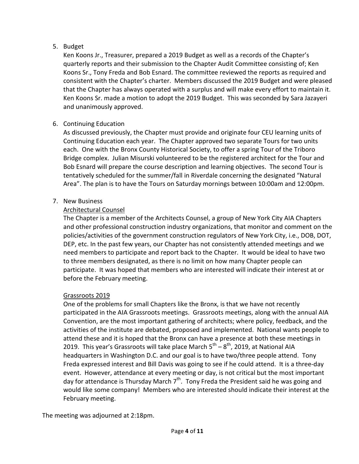### 5. Budget

Ken Koons Jr., Treasurer, prepared a 2019 Budget as well as a records of the Chapter's quarterly reports and their submission to the Chapter Audit Committee consisting of; Ken Koons Sr., Tony Freda and Bob Esnard. The committee reviewed the reports as required and consistent with the Chapter's charter. Members discussed the 2019 Budget and were pleased that the Chapter has always operated with a surplus and will make every effort to maintain it. Ken Koons Sr. made a motion to adopt the 2019 Budget. This was seconded by Sara Jazayeri and unanimously approved.

## 6. Continuing Education

As discussed previously, the Chapter must provide and originate four CEU learning units of Continuing Education each year. The Chapter approved two separate Tours for two units each. One with the Bronx County Historical Society, to offer a spring Tour of the Triboro Bridge complex. Julian Misurski volunteered to be the registered architect for the Tour and Bob Esnard will prepare the course description and learning objectives. The second Tour is tentatively scheduled for the summer/fall in Riverdale concerning the designated "Natural Area". The plan is to have the Tours on Saturday mornings between 10:00am and 12:00pm.

## 7. New Business

### Architectural Counsel

The Chapter is a member of the Architects Counsel, a group of New York City AIA Chapters and other professional construction industry organizations, that monitor and comment on the policies/activities of the government construction regulators of New York City, i.e., DOB, DOT, DEP, etc. In the past few years, our Chapter has not consistently attended meetings and we need members to participate and report back to the Chapter. It would be ideal to have two to three members designated, as there is no limit on how many Chapter people can participate. It was hoped that members who are interested will indicate their interest at or before the February meeting.

### Grassroots 2019

One of the problems for small Chapters like the Bronx, is that we have not recently participated in the AIA Grassroots meetings. Grassroots meetings, along with the annual AIA Convention, are the most important gathering of architects; where policy, feedback, and the activities of the institute are debated, proposed and implemented. National wants people to attend these and it is hoped that the Bronx can have a presence at both these meetings in 2019. This year's Grassroots will take place March  $5^{th} - 8^{th}$ , 2019, at National AIA headquarters in Washington D.C. and our goal is to have two/three people attend. Tony Freda expressed interest and Bill Davis was going to see if he could attend. It is a three-day event. However, attendance at every meeting or day, is not critical but the most important day for attendance is Thursday March  $7<sup>th</sup>$ . Tony Freda the President said he was going and would like some company! Members who are interested should indicate their interest at the February meeting.

The meeting was adjourned at 2:18pm.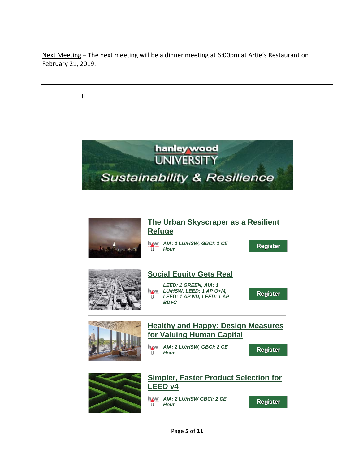Next Meeting – The next meeting will be a dinner meeting at 6:00pm at Artie's Restaurant on February 21, 2019.

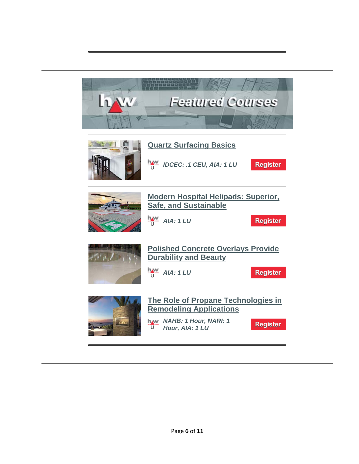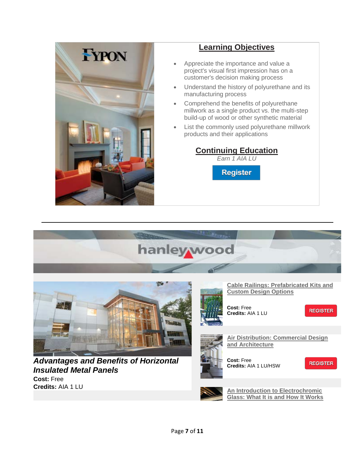

## **[Learning Objectives](https://linkprotect.cudasvc.com/url?a=http%3a%2f%2frecp.mkt32.net%2fctt%3fm%3d38487982%26r%3dMTA2ODM2MDg5OTM3S0%26b%3d0%26j%3dMTQ0MTU2NzIxNQS2%26k%3dLink0-3%26kx%3d1%26kt%3d1%26kd%3dhttps%253A%252F%252Freg.hanleywood.com%252Frf%252F20021280%252F188039460%252Fs%252Femlfypon0116%252Fa%252F5620%252Fbesnard%40dzco.com&c=E,1,pp2OnffFLpHiw36huhz8Tl4wdgaEYsX2_IKCUN1ZjQEj3nYIErveeVPd3jBNWyT36XAucRDYxfZ-zlEQ9OoFTFIj_560bkLYcVxrZU4cqMWGoNfh&typo=1)**

- Appreciate the importance and value a project's visual first impression has on a customer's decision making process
- Understand the history of polyurethane and its manufacturing process
- Comprehend the benefits of polyurethane millwork as a single product vs. the multi-step build-up of wood or other synthetic material
- List the commonly used polyurethane millwork products and their applications

**[Glass: What It is and How It Works](https://linkprotect.cudasvc.com/url?a=http%3a%2f%2flinks.hanleywood.mkt6839.com%2fctt%3fkn%3d10%26ms%3dMzgzNDIyNDcS1%26r%3dMTA2ODM2MDg5OTM3S0%26b%3d0%26j%3dMTQ0MDgwMDk5MwS2%26mt%3d1%26rt%3d0&c=E,1,Y5NFA7Sq3WoNcnsCE6SrTBpyPS3adgc9mlgSd3tH3T_clKdhstnsCNr1x__xnU0RUvjKUP3I-1KEk8JVfNrOHX9eugJzcYLKGgnXvixdGnWPhBDn&typo=1)**

**[Continuing Education](https://linkprotect.cudasvc.com/url?a=http%3a%2f%2frecp.mkt32.net%2fctt%3fm%3d38487982%26r%3dMTA2ODM2MDg5OTM3S0%26b%3d0%26j%3dMTQ0MTU2NzIxNQS2%26k%3dLink0-4%26kx%3d1%26kt%3d1%26kd%3dhttps%253A%252F%252Freg.hanleywood.com%252Frf%252F20021280%252F188039460%252Fs%252Femlfypon0116%252Fa%252F5620%252Fbesnard%40dzco.com&c=E,1,N75B5L5-BBI7aD0EaizP-hZSDFk1T_SupPyKKfPS8j0HLZg_uuFIYKXrWiOwO8C_vTxVb5L3-npu3jnldlGWxSUhEZNXbhgLFQidSAlwxXdN&typo=1)** *Earn 1 AIA LU*

**Register** 

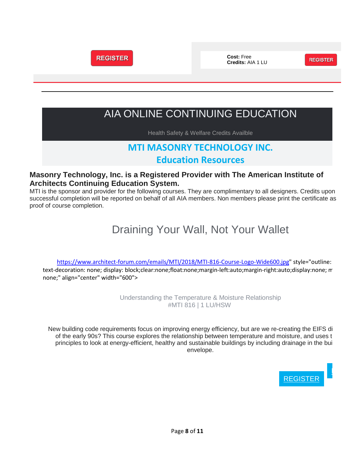

## AIA ONLINE CONTINUING EDUCATION

Health Safety & Welfare Credits Availble

## **MTI MASONRY TECHNOLOGY INC. Education Resources**

### **Masonry Technology, Inc. is a Registered Provider with The American Institute of Architects Continuing Education System.**

MTI is the sponsor and provider for the following courses. They are complimentary to all designers. Credits upon successful completion will be reported on behalf of all AIA members. Non members please print the certificate as proof of course completion.

# Draining Your Wall, Not Your Wallet

[https://www.architect-forum.com/emails/MTI/2018/MTI-816-Course-Logo-Wide600.jpg"](https://www.architect-forum.com/emails/MTI/2018/MTI-816-Course-Logo-Wide600.jpg) style="outline: text-decoration: none; display: block;clear:none;float:none;margin-left:auto;margin-right:auto;display:none; m none;" align="center" width="600">

> Understanding the Temperature & Moisture Relationship #MTI 816 | 1 LU/HSW

New building code requirements focus on improving energy efficiency, but are we re-creating the EIFS di of the early 90s? This course explores the relationship between temperature and moisture, and uses t principles to look at energy-efficient, healthy and sustainable buildings by including drainage in the bui envelope.

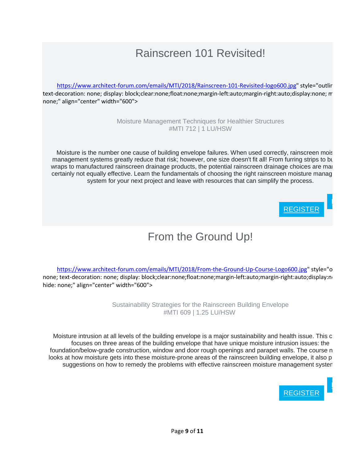# Rainscreen 101 Revisited!

[https://www.architect-forum.com/emails/MTI/2018/Rainscreen-101-Revisited-logo600.jpg"](https://www.architect-forum.com/emails/MTI/2018/Rainscreen-101-Revisited-logo600.jpg) style="outlin text-decoration: none; display: block;clear:none;float:none;margin-left:auto;margin-right:auto;display:none; m none;" align="center" width="600">

> Moisture Management Techniques for Healthier Structures #MTI 712 | 1 LU/HSW

Moisture is the number one cause of building envelope failures. When used correctly, rainscreen mois management systems greatly reduce that risk; however, one size doesn't fit all! From furring strips to bu wraps to manufactured rainscreen drainage products, the potential rainscreen drainage choices are man certainly not equally effective. Learn the fundamentals of choosing the right rainscreen moisture manag system for your next project and leave with resources that can simplify the process.



[L](https://linkprotect.cudasvc.com/url?a=http%3a%2f%2fnewsletter.architect-forum.com%3a8080%2ft.aspx%3fS%3d1%26ID%3d4617%26NL%3d2%26N%3d1161%26SI%3d2271%26URL%3dhttps%253a%252f%252fwww.mtidry.com%252fusers%252fuser-login%253futm_source%253darchitect-forum&c=E,1,rY8JvZtS4GILBI59Gwf3b763ZLpMr-SElALqQt2mBe6Z7jNQceF4Pop2tAij0TsGZthNfEFsQhFbnGVmxxvGfryiR7FhWA1DS0gVWKycCQ,,&typo=1)

# From the Ground Up!

[https://www.architect-forum.com/emails/MTI/2018/From-the-Ground-Up-Course-Logo600.jpg"](https://www.architect-forum.com/emails/MTI/2018/From-the-Ground-Up-Course-Logo600.jpg) style="o none; text-decoration: none; display: block;clear:none;float:none;margin-left:auto;margin-right:auto;display:no hide: none;" align="center" width="600">

> Sustainability Strategies for the Rainscreen Building Envelope #MTI 609 | 1.25 LU/HSW

Moisture intrusion at all levels of the building envelope is a major sustainability and health issue. This c focuses on three areas of the building envelope that have unique moisture intrusion issues: the foundation/below-grade construction, window and door rough openings and parapet walls. The course n looks at how moisture gets into these moisture-prone areas of the rainscreen building envelope, it also p suggestions on how to remedy the problems with effective rainscreen moisture management system

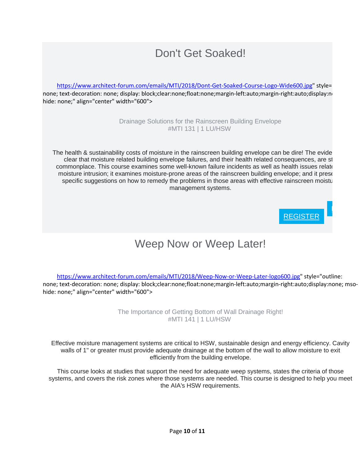# Don't Get Soaked!

[https://www.architect-forum.com/emails/MTI/2018/Dont-Get-Soaked-Course-Logo-Wide600.jpg"](https://www.architect-forum.com/emails/MTI/2018/Dont-Get-Soaked-Course-Logo-Wide600.jpg) style= none; text-decoration: none; display: block;clear:none;float:none;margin-left:auto;margin-right:auto;display:no hide: none;" align="center" width="600">

> Drainage Solutions for the Rainscreen Building Envelope #MTI 131 | 1 LU/HSW

The health & sustainability costs of moisture in the rainscreen building envelope can be dire! The evide clear that moisture related building envelope failures, and their health related consequences, are st commonplace. This course examines some well-known failure incidents as well as health issues relate moisture intrusion; it examines moisture-prone areas of the rainscreen building envelope; and it prese specific suggestions on how to remedy the problems in those areas with effective rainscreen moistu management systems.



# Weep Now or Weep Later!

[https://www.architect-forum.com/emails/MTI/2018/Weep-Now-or-Weep-Later-logo600.jpg"](https://www.architect-forum.com/emails/MTI/2018/Weep-Now-or-Weep-Later-logo600.jpg) style="outline: none; text-decoration: none; display: block;clear:none;float:none;margin-left:auto;margin-right:auto;display:none; msohide: none;" align="center" width="600">

> The Importance of Getting Bottom of Wall Drainage Right! #MTI 141 | 1 LU/HSW

Effective moisture management systems are critical to HSW, sustainable design and energy efficiency. Cavity walls of 1" or greater must provide adequate drainage at the bottom of the wall to allow moisture to exit efficiently from the building envelope.

This course looks at studies that support the need for adequate weep systems, states the criteria of those systems, and covers the risk zones where those systems are needed. This course is designed to help you meet the AIA's HSW requirements.